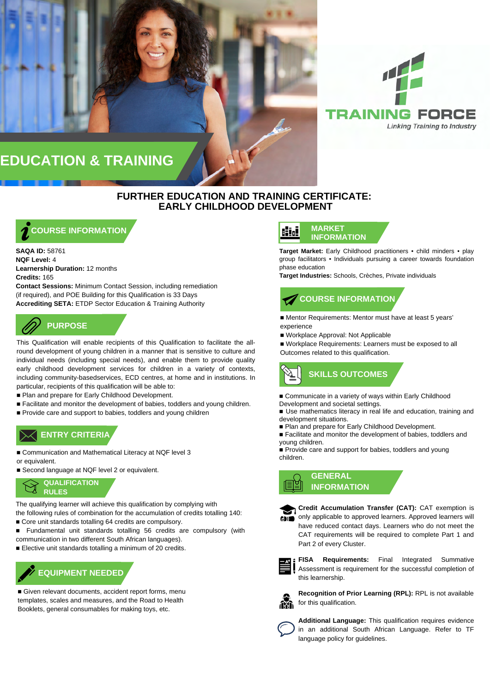

# **EDUCATION & TRAINING**

## **FURTHER EDUCATION AND TRAINING CERTIFICATE: EARLY CHILDHOOD DEVELOPMENT**

## **COURSE INFORMATION**

**SAQA ID:** 58761 **NQF Level:** 4 **Learnership Duration:** 12 months **Credits:** 165

**Contact Sessions:** Minimum Contact Session, including remediation (if required), and POE Building for this Qualification is 33 Days **Accrediting SETA:** ETDP Sector Education & Training Authority

# **PURPOSE**

This Qualification will enable recipients of this Qualification to facilitate the allround development of young children in a manner that is sensitive to culture and individual needs (including special needs), and enable them to provide quality early childhood development services for children in a variety of contexts, including community-basedservices, ECD centres, at home and in institutions. In particular, recipients of this qualification will be able to:

- Plan and prepare for Early Childhood Development.
- Facilitate and monitor the development of babies, toddlers and young children.
- Provide care and support to babies, toddlers and young children

## **ENTRY CRITERIA ENTRY CRITERIA**

- Communication and Mathematical Literacy at NQF level 3 or equivalent.
- Second language at NQF level 2 or equivalent.



The qualifying learner will achieve this qualification by complying with the following rules of combination for the accumulation of credits totalling 140:

- Core unit standards totalling 64 credits are compulsory.
- Fundamental unit standards totalling 56 credits are compulsory (with communication in two different South African languages).
- Elective unit standards totalling a minimum of 20 credits.



■ Given relevant documents, accident report forms, menu templates, scales and measures, and the Road to Health Booklets, general consumables for making toys, etc.

#### **MARKET** Hid **INFORMATION**

**Target Market:** Early Childhood practitioners • child minders • play group facilitators • Individuals pursuing a career towards foundation phase education

**Target Industries:** Schools, Crèches, Private individuals

# **COURSE INFORMATION**

■ Mentor Requirements: Mentor must have at least 5 years' experience

■ Workplace Approval: Not Applicable

■ Workplace Requirements: Learners must be exposed to all Outcomes related to this qualification.

# **SKILLS OUTCOMES**

■ Communicate in a variety of ways within Early Childhood Development and societal settings.

- Use mathematics literacy in real life and education, training and development situations.
- Plan and prepare for Early Childhood Development.
- Facilitate and monitor the development of babies, toddlers and young children.
- Provide care and support for babies, toddlers and young children.

## **GENERAL INFORMATION**



**Credit Accumulation Transfer (CAT):** CAT exemption is only applicable to approved learners. Approved learners will GDID have reduced contact days. Learners who do not meet the CAT requirements will be required to complete Part 1 and Part 2 of every Cluster.



**FISA Requirements:** Final Integrated Summative Assessment is requirement for the successful completion of this learnership.



**Recognition of Prior Learning (RPL):** RPL is not available for this qualification.



**Additional Language:** This qualification requires evidence in an additional South African Language. Refer to TF language policy for guidelines.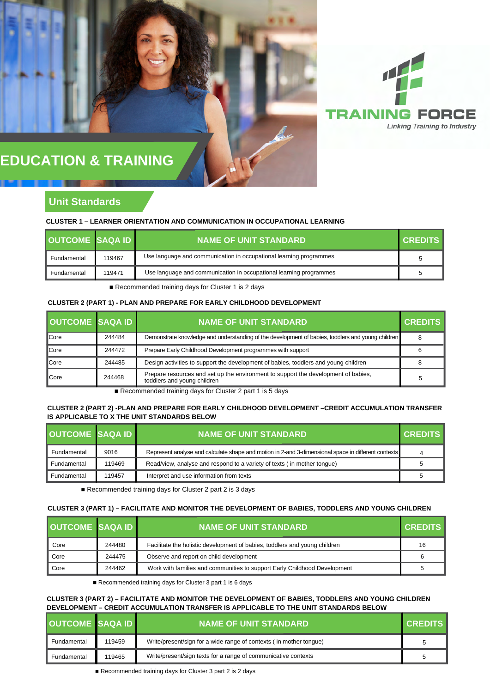

# **EDUCATION & TRAINING**

## **Unit Standards**

### **CLUSTER 1 – LEARNER ORIENTATION AND COMMUNICATION IN OCCUPATIONAL LEARNING**

| <b>OUTCOME SAQA ID</b> |        | <b>NAME OF UNIT STANDARD</b>                                       | <b>CREDITS</b> |
|------------------------|--------|--------------------------------------------------------------------|----------------|
| Fundamental            | 119467 | Use language and communication in occupational learning programmes | 5              |
| Fundamental            | 119471 | Use language and communication in occupational learning programmes | 5              |

■ Recommended training days for Cluster 1 is 2 days

## **CLUSTER 2 (PART 1) - PLAN AND PREPARE FOR EARLY CHILDHOOD DEVELOPMENT**

| <b>OUTCOME SAQA ID</b> |        | <b>NAME OF UNIT STANDARD</b>                                                                                      | <b>CREDITS</b> |
|------------------------|--------|-------------------------------------------------------------------------------------------------------------------|----------------|
| Core                   | 244484 | Demonstrate knowledge and understanding of the development of babies, toddlers and young children                 | 8              |
| Core                   | 244472 | Prepare Early Childhood Development programmes with support                                                       |                |
| Core                   | 244485 | Design activities to support the development of babies, toddlers and young children                               |                |
| Core                   | 244468 | Prepare resources and set up the environment to support the development of babies,<br>toddlers and young children |                |

■ Recommended training days for Cluster 2 part 1 is 5 days

## **CLUSTER 2 (PART 2) -PLAN AND PREPARE FOR EARLY CHILDHOOD DEVELOPMENT –CREDIT ACCUMULATION TRANSFER IS APPLICABLE TO X THE UNIT STANDARDS BELOW**

| <b>OUTCOME SAQA ID</b> |        | <b>NAME OF UNIT STANDARD</b>                                                                        | <b>CREDITS</b> |
|------------------------|--------|-----------------------------------------------------------------------------------------------------|----------------|
| Fundamental            | 9016   | Represent analyse and calculate shape and motion in 2-and 3-dimensional space in different contexts | 4              |
| Fundamental            | 119469 | Read/view, analyse and respond to a variety of texts (in mother tonque)                             | 5              |
| Fundamental            | 119457 | Interpret and use information from texts                                                            | 5              |

■ Recommended training days for Cluster 2 part 2 is 3 days

#### **CLUSTER 3 (PART 1) – FACILITATE AND MONITOR THE DEVELOPMENT OF BABIES, TODDLERS AND YOUNG CHILDREN**

| <b>OUTCOME SAQA ID</b> |        | <b>NAME OF UNIT STANDARD</b>                                               | <b>CREDITS</b> |
|------------------------|--------|----------------------------------------------------------------------------|----------------|
| Core                   | 244480 | Facilitate the holistic development of babies, toddlers and young children | 16             |
| Core                   | 244475 | Observe and report on child development                                    |                |
| Core                   | 244462 | Work with families and communities to support Early Childhood Development  |                |

■ Recommended training days for Cluster 3 part 1 is 6 days

## **CLUSTER 3 (PART 2) – FACILITATE AND MONITOR THE DEVELOPMENT OF BABIES, TODDLERS AND YOUNG CHILDREN DEVELOPMENT – CREDIT ACCUMULATION TRANSFER IS APPLICABLE TO THE UNIT STANDARDS BELOW**

| OUTCOME SAQA ID |        | <b>NAME OF UNIT STANDARD</b>                                       | <b>CREDITS</b> |
|-----------------|--------|--------------------------------------------------------------------|----------------|
| Fundamental     | 119459 | Write/present/sign for a wide range of contexts (in mother tongue) |                |
| Fundamental     | 119465 | Write/present/sign texts for a range of communicative contexts     |                |

■ Recommended training days for Cluster 3 part 2 is 2 days